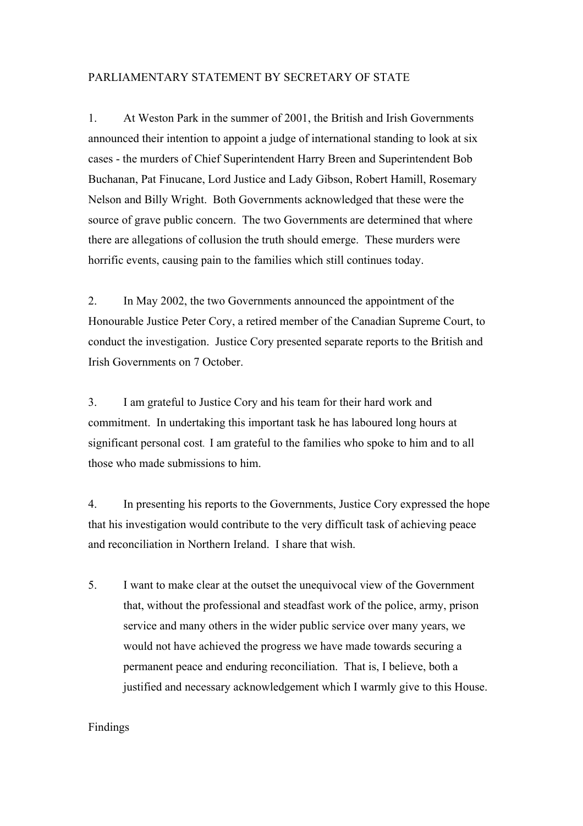## PARLIAMENTARY STATEMENT BY SECRETARY OF STATE

1. At Weston Park in the summer of 2001, the British and Irish Governments announced their intention to appoint a judge of international standing to look at six cases - the murders of Chief Superintendent Harry Breen and Superintendent Bob Buchanan, Pat Finucane, Lord Justice and Lady Gibson, Robert Hamill, Rosemary Nelson and Billy Wright. Both Governments acknowledged that these were the source of grave public concern. The two Governments are determined that where there are allegations of collusion the truth should emerge. These murders were horrific events, causing pain to the families which still continues today.

2. In May 2002, the two Governments announced the appointment of the Honourable Justice Peter Cory, a retired member of the Canadian Supreme Court, to conduct the investigation. Justice Cory presented separate reports to the British and Irish Governments on 7 October.

3. I am grateful to Justice Cory and his team for their hard work and commitment. In undertaking this important task he has laboured long hours at significant personal cost. I am grateful to the families who spoke to him and to all those who made submissions to him.

4. In presenting his reports to the Governments, Justice Cory expressed the hope that his investigation would contribute to the very difficult task of achieving peace and reconciliation in Northern Ireland. I share that wish.

5. I want to make clear at the outset the unequivocal view of the Government that, without the professional and steadfast work of the police, army, prison service and many others in the wider public service over many years, we would not have achieved the progress we have made towards securing a permanent peace and enduring reconciliation. That is, I believe, both a justified and necessary acknowledgement which I warmly give to this House.

## Findings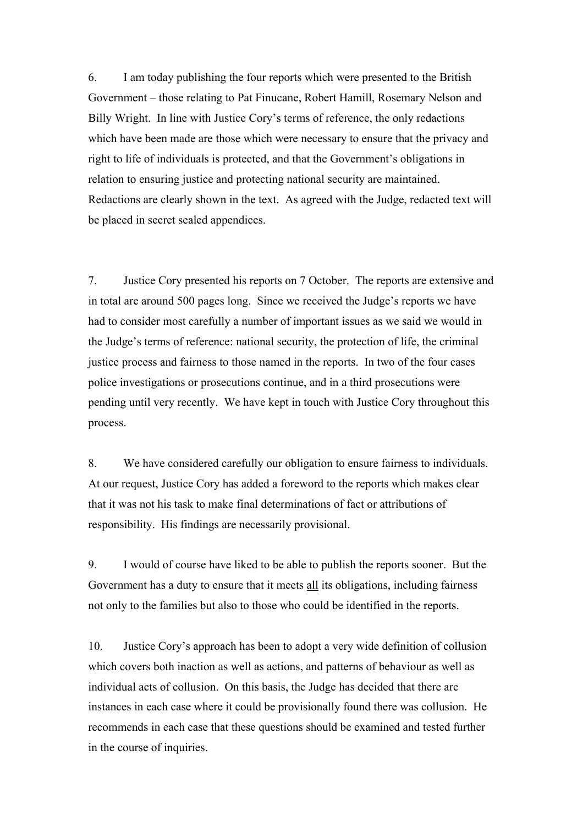6. I am today publishing the four reports which were presented to the British Government – those relating to Pat Finucane, Robert Hamill, Rosemary Nelson and Billy Wright. In line with Justice Cory's terms of reference, the only redactions which have been made are those which were necessary to ensure that the privacy and right to life of individuals is protected, and that the Government's obligations in relation to ensuring justice and protecting national security are maintained. Redactions are clearly shown in the text. As agreed with the Judge, redacted text will be placed in secret sealed appendices.

7. Justice Cory presented his reports on 7 October. The reports are extensive and in total are around 500 pages long. Since we received the Judge's reports we have had to consider most carefully a number of important issues as we said we would in the Judge's terms of reference: national security, the protection of life, the criminal justice process and fairness to those named in the reports. In two of the four cases police investigations or prosecutions continue, and in a third prosecutions were pending until very recently. We have kept in touch with Justice Cory throughout this process.

8. We have considered carefully our obligation to ensure fairness to individuals. At our request, Justice Cory has added a foreword to the reports which makes clear that it was not his task to make final determinations of fact or attributions of responsibility. His findings are necessarily provisional.

9. I would of course have liked to be able to publish the reports sooner. But the Government has a duty to ensure that it meets all its obligations, including fairness not only to the families but also to those who could be identified in the reports.

10. Justice Cory's approach has been to adopt a very wide definition of collusion which covers both inaction as well as actions, and patterns of behaviour as well as individual acts of collusion. On this basis, the Judge has decided that there are instances in each case where it could be provisionally found there was collusion. He recommends in each case that these questions should be examined and tested further in the course of inquiries.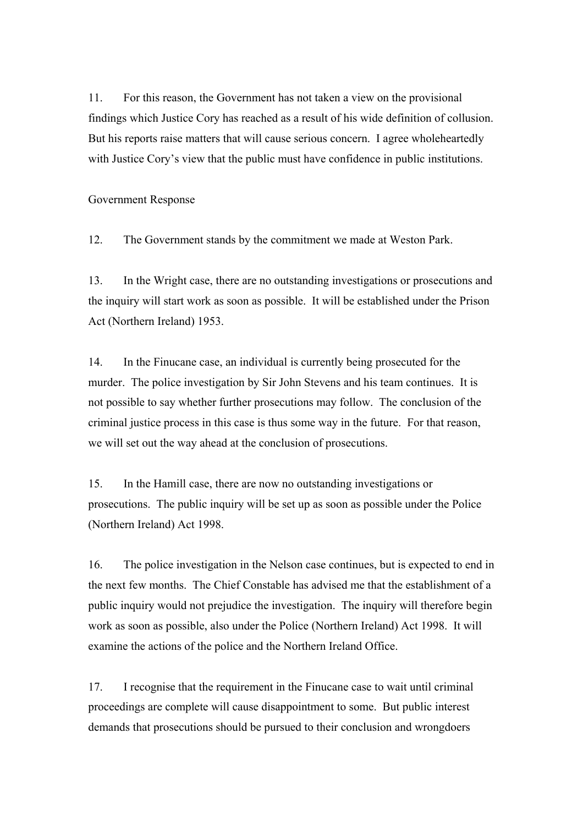11. For this reason, the Government has not taken a view on the provisional findings which Justice Cory has reached as a result of his wide definition of collusion. But his reports raise matters that will cause serious concern. I agree wholeheartedly with Justice Cory's view that the public must have confidence in public institutions.

Government Response

12. The Government stands by the commitment we made at Weston Park.

13. In the Wright case, there are no outstanding investigations or prosecutions and the inquiry will start work as soon as possible. It will be established under the Prison Act (Northern Ireland) 1953.

14. In the Finucane case, an individual is currently being prosecuted for the murder. The police investigation by Sir John Stevens and his team continues. It is not possible to say whether further prosecutions may follow. The conclusion of the criminal justice process in this case is thus some way in the future. For that reason, we will set out the way ahead at the conclusion of prosecutions.

15. In the Hamill case, there are now no outstanding investigations or prosecutions. The public inquiry will be set up as soon as possible under the Police (Northern Ireland) Act 1998.

16. The police investigation in the Nelson case continues, but is expected to end in the next few months. The Chief Constable has advised me that the establishment of a public inquiry would not prejudice the investigation. The inquiry will therefore begin work as soon as possible, also under the Police (Northern Ireland) Act 1998. It will examine the actions of the police and the Northern Ireland Office.

17. I recognise that the requirement in the Finucane case to wait until criminal proceedings are complete will cause disappointment to some. But public interest demands that prosecutions should be pursued to their conclusion and wrongdoers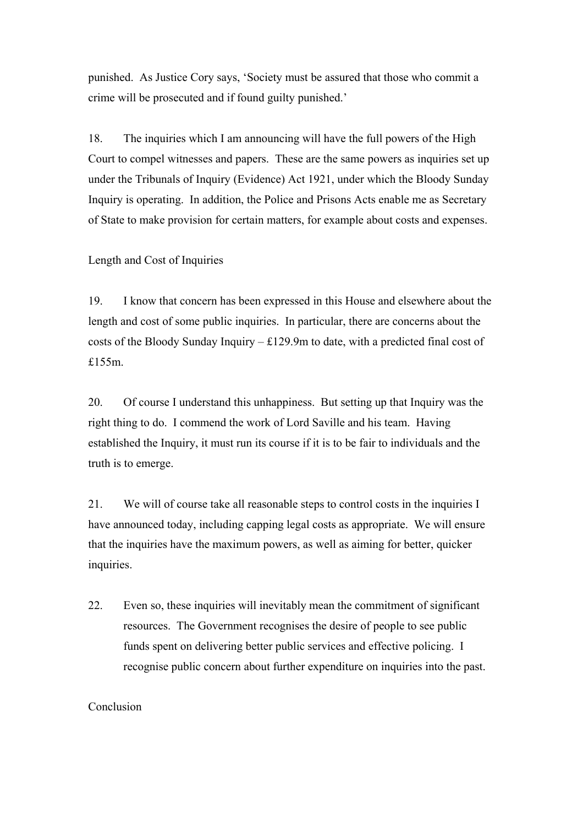punished. As Justice Cory says, 'Society must be assured that those who commit a crime will be prosecuted and if found guilty punished.'

18. The inquiries which I am announcing will have the full powers of the High Court to compel witnesses and papers. These are the same powers as inquiries set up under the Tribunals of Inquiry (Evidence) Act 1921, under which the Bloody Sunday Inquiry is operating. In addition, the Police and Prisons Acts enable me as Secretary of State to make provision for certain matters, for example about costs and expenses.

Length and Cost of Inquiries

19. I know that concern has been expressed in this House and elsewhere about the length and cost of some public inquiries. In particular, there are concerns about the costs of the Bloody Sunday Inquiry – £129.9m to date, with a predicted final cost of £155m.

20. Of course I understand this unhappiness. But setting up that Inquiry was the right thing to do. I commend the work of Lord Saville and his team. Having established the Inquiry, it must run its course if it is to be fair to individuals and the truth is to emerge.

21. We will of course take all reasonable steps to control costs in the inquiries I have announced today, including capping legal costs as appropriate. We will ensure that the inquiries have the maximum powers, as well as aiming for better, quicker inquiries.

22. Even so, these inquiries will inevitably mean the commitment of significant resources. The Government recognises the desire of people to see public funds spent on delivering better public services and effective policing. I recognise public concern about further expenditure on inquiries into the past.

## Conclusion